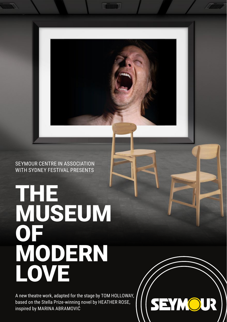SEYMOUR CENTRE IN ASSOCIATION WITH SYDNEY FESTIVAL PRESENTS

THE MUSEUM OF MODERN LOVE

A new theatre work, adapted for the stage by TOM HOLLOWAY, based on the Stella Prize-winning novel by HEATHER ROSE, inspired by MARINA ABRAMOVIĆ

SEYMOUR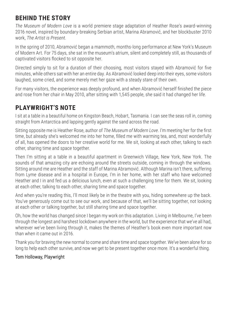# **BEHIND THE STORY**

*The Museum of Modern Love* is a world premiere stage adaptation of Heather Rose's award-winning 2016 novel, inspired by boundary-breaking Serbian artist, Marina Abramović, and her blockbuster 2010 work, *The Artist is Present*.

In the spring of 2010, Abramović began a mammoth, months-long performance at New York's Museum of Modern Art. For 75 days, she sat in the museum's atrium, silent and completely still, as thousands of captivated visitors flocked to sit opposite her.

Directed simply to sit for a duration of their choosing, most visitors stayed with Abramović for five minutes, while others sat with her an entire day. As Abramović looked deep into their eyes, some visitors laughed, some cried, and some merely met her gaze with a steady stare of their own.

For many visitors, the experience was deeply profound, and when Abramović herself finished the piece and rose from her chair in May 2010, after sitting with 1,545 people, she said it had changed her life.

# **PLAYWRIGHT'S NOTE**

I sit at a table in a beautiful home on Kingston Beach, Hobart, Tasmania. I can see the seas roll in, coming straight from Antarctica and lapping gently against the sand across the road.

Sitting opposite me is Heather Rose, author of *The Museum of Modern Love*. I'm meeting her for the first time, but already she's welcomed me into her home, filled me with warming tea, and, most wonderfully of all, has opened the doors to her creative world for me. We sit, looking at each other, talking to each other, sharing time and space together.

Then I'm sitting at a table in a beautiful apartment in Greenwich Village, New York, New York. The sounds of that amazing city are echoing around the streets outside, coming in through the windows. Sitting around me are Heather and the staff of Marina Abramović. Although Marina isn't there, suffering from Lyme disease and in a hospital in Europe, I'm in her home, with her staff who have welcomed Heather and I in and fed us a delicious lunch, even at such a challenging time for them. We sit, looking at each other, talking to each other, sharing time and space together.

And when you're reading this, I'll most likely be in the theatre with you, hiding somewhere up the back. You've generously come out to see our work, and because of that, we'll be sitting together, not looking at each other or talking together, but still sharing time and space together.

Oh, how the world has changed since I began my work on this adaptation. Living in Melbourne, I've been through the longest and harshest lockdown anywhere in the world, but the experience that we've all had, wherever we've been living through it, makes the themes of Heather's book even more important now than when it came out in 2016.

Thank you for braving the new normal to come and share time and space together. We've been alone for so long to help each other survive, and now we get to be present together once more. It's a wonderful thing.

## Tom Holloway, Playwright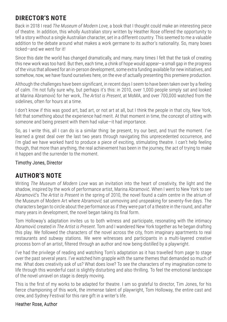# **DIRECTOR'S NOTE**

Back in 2018 I read *The Museum of Modern Love*, a book that I thought could make an interesting piece of theatre. In addition, this wholly Australian story written by Heather Rose offered the opportunity to tell a story without a single Australian character, set in a different country. This seemed to me a valuable addition to the debate around what makes a work germane to its author's nationality. So, many boxes ticked—and we went for it!

Since this date the world has changed dramatically, and many, many times I felt that the task of creating this new work was too hard. But then, each time, a chink of hope would appear—a small gap in the progress of the virus that allowed for an in-person development, some extra funding available for new initiatives, and somehow, now, we have found ourselves here, on the eve of actually presenting this premiere production.

Although the challenges have been significant, in recent days I seem to have been taken over by a feeling of calm. I'm not fully sure why, but perhaps it's this: in 2010, over 1,000 people simply sat and looked at Marina Abramović for her work, *The Artist is Present*, at MoMA, and over 700,000 watched from the sidelines, often for hours at a time.

I don't know if this was good art, bad art, or not art at all, but I think the people in that city, New York, felt that something about the experience had merit. At that moment in time, the concept of sitting with someone and being present with them had value—it had importance.

So, as I write this, all I can do is a similar thing: be present, try our best, and trust the moment. I've learned a great deal over the last two years through navigating this unprecedented occurrence, and I'm glad we have worked hard to produce a piece of exciting, stimulating theatre. I can't help feeling though, that more than anything, the real achievement has been in the journey, the act of trying to make it happen and the surrender to the moment.

## Timothy Jones, Director

## **AUTHOR'S NOTE**

Writing *The Museum of Modern Love* was an invitation into the heart of creativity, the light and the shadow, inspired by the work of performance artist, Marina Abramović. When I went to New York to see Abramović's *The Artist is Present* in the spring of 2010, the novel found a calm centre in the atrium of the Museum of Modern Art where Abramović sat unmoving and unspeaking for seventy-five days. The characters began to circle about the performance as if they were part of a theatre in the round, and after many years in development, the novel began taking its final form.

Tom Holloway's adaptation invites us to both witness and participate, resonating with the intimacy Abramović created in *The Artist is Present*. Tom and I wandered New York together as he began drafting this play. We followed the characters of the novel across the city, from imaginary apartments to real restaurants and subway stations. We were witnesses and participants in a multi-layered creative process born of an artist, filtered through an author and now being distilled by a playwright.

I've had the privilege of reading and watching Tom's adaptation as it has travelled from page to stage over the past several years. I've watched him grapple with the same themes that demanded so much of me. What does creativity ask of us? What does love? To see the characters of my imagination come to life through this wonderful cast is slightly disturbing and also thrilling. To feel the emotional landscape of the novel unravel on stage is deeply moving.

This is the first of my works to be adapted for theatre. I am so grateful to director, Tim Jones, for his fierce championing of this work, the immense talent of playwright, Tom Holloway, the entire cast and crew, and Sydney Festival for this rare gift in a writer's life.

### Heather Rose, Author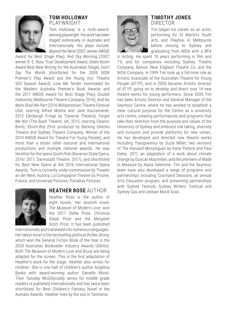

#### **TOM HOLLOWAY**  PLAYWRIGHT

Tom Holloway is a multi-awardwinning playwright. His work has been staged extensively in Australia and internationally. His plays include: *Beyond the Neck* (2007, winner AWGIE

Award for Best Stage Play); *Red Sky Morning*  (2007, winner R. E. Ross Trust Development Award, Green Room Award Best New Writing for the Australian Stage); *Don't Say The Words*  (shortlisted for the 2009 NSW Premier's Play Award and the Young Vic/ Theatre 503 Season Award); *Love Me Tender*  (nominated for the Western Australia Premier's Book Awards and the 2011 AWGIE Award for Best Stage Play); *Double Indemnity* (Melbourne Theatre Company, 2016); *And No More Shall We Part* (2016 Williamstown Theatre Festival USA, starring Alfred Molina and Jane Kaczamarek, 2012 Edinburgh Fringe by Traverse Theatre); *Forget Me Not* (The Bush Theatre, UK, 2015, starring Eleanor Bron); *Storm-Boy* (first produced by Barking Ghecko Theatre and Sydney Theatre Company; Winner of the 2014 AWGIE Award for Theatre For Young People); and more than a dozen other national and international productions and multiple national awards. He was librettist for the opera *South Pole* (Bavarian State Opera, 2016/ 2017, Darmstadt Theatre, 2017), and shortlisted for Best New Opera at the 2016 International Opera Awards. Tom is currently under commission by Theater an der Wein, Austria, La Compagnie Theatre du Prisme, France, and Universal Pictures/ Paradise Pictures.



### **HEATHER ROSE** AUTHOR

Heather Rose is the author of eight novels. Her seventh novel, *The Museum of Modern Love*, won the 2017 Stella Prize, Christina Stead Prize and the Margaret Scott Prize. It has been published

internationally and translated into numerous languages. Her latest novel is the bestselling political thriller, *Bruny*, which won the General Fiction Book of the Year in the 2020 Australian Bookseller Industry Awards (ABIAs). Both *The Museum of Modern Love* and *Bruny* are being adapted for the screen. This is the first adaptation of Heather's work for the stage. Heather also writes for children. She is one half of children's author Angelica Banks with award-winning author Danielle Wood. Their *Tuesday McGillycuddy* series for middle grade readers is published internationally and has twice been shortlisted for Best Children's Fantasy Novel in the Aurealis Awards. Heather lives by the sea in Tasmania.

#### **TIMOTHY JONES**  DIRECTOR

Tim began his career as an actor, performing for St Martin's Youth Arts and Playbox in Melbourne before moving to Sydney and graduating from NIDA with a BFA

in Acting. He spent 10 years performing in film and TV, and for companies including Sydney Theatre Company, Belvoir, New England Theatre Co, and the NIDA Company. In 1999 Tim took up a full-time role as Artistic Associate of the Australian Theatre for Young People (ATYP), and in 2005 became Artistic Director of ATYP, going on to develop and direct over 14 new theatre works for young performers. Since 2009 Tim has been Artistic Director and General Manager of the Seymour Centre, where he has worked to establish a clear cultural purpose for the Centre as a university arts centre, creating performances and programs that take their direction from the purpose and values of the University of Sydney and embrace risk taking, diversity and inclusion and provide platforms for new voices. He has developed and directed new theatre works including *Transparency* by Suzie Miller; two versions of *The Hansard Monologues* by Katie Pollock and Paul Daley; *2071*, an adaptation of a work about climate change by Duncan Macmillan; and the premiere of *Made to Measure* by Alana Valentine. Tim and the Seymour team have also developed a range of programs and partnerships including Courtyard Sessions, an annual Arts Education program, and presenting partnerships with Sydney Festival, Sydney Writers' Festival and Sydney Gay and Lesbian Mardi Gras.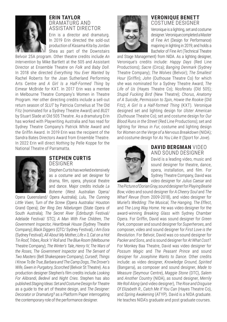

#### **ERIN TAYLOR**  DRAMATURG AND ASSISTANT DIRECTOR

Erin is a director and dramaturg. In 2019 Erin directed the sold-out production of *Kasama Kita* by Jordan Shea as part of the Downstairs

Belvoir 25A program. Other theatre credits include *An Intervention* by Mike Bartlett at the 505 and Assistant Director at Ensemble Theatre on *Folk* and *Baby Doll*. In 2018 she directed *Everything You Ever Wanted* by Rachel Roberts for the Joan Sutherland Performing Arts Centre and *A Girl Is a Half-Formed Thing* by Eimear McBride for KXT. In 2017 Erin was a mentee in Melbourne Theatre Company's Women in Theatre Program. Her other directing credits include a sell-out return season of *SLUT* by Patricia Cornelius at The Old Fitz (nominated for a Sydney Theatre Award) and *BU21*  by Stuart Slade at Old 505 Theatre. As a dramaturg Erin has worked with Playwriting Australia and has read for Sydney Theatre Company's Patrick White Award and the Griffin Award. In 2019 Erin was the recipient of the Sandra Bates Directors Award from Ensemble Theatre. In 2022 Erin will direct *Nothing* by Pelle Koppe for the National Theatre of Parramatta.



#### **STEPHEN CURTIS**  DESIGNER

Stephen Curtis has worked extensively as a costume and set designer for drama, film, opera, physical theatre and dance. Major credits include *La Boheme* (West Australian Opera/

Opera Queensland/ Opera Australia); *Lulu*, *The Cunning Little Vixen*, *Turn of the Screw* (Opera Australia/ Houston Grand Opera); *Der Ring Des Nibelungen* (State Opera of South Australia); *The Secret River* (Edinburgh Festival/ Adelaide Festival/ STC); *A Man With Five Children*, *The Government Inspector*, *Heartbreak House* (Sydney Theatre Company); *Black Diggers* (QTC/ Sydney Festival), *I Am Eora* (Sydney Festival); *All About My Mother*, *Life x 3*, *Cat on a Hot Tin Roof*, *Tribes*, *Rock 'n' Roll* and *The Blue Room* (Melbourne Theatre Company); *The Winter's Tale*, *Henry IV*, *The Wars of the Roses*, *The Government Inspector* and *The Servant of Two Masters* (Bell Shakespeare Company); *Cursed!*, *Things I Know To Be True*, *Barbara and The Camp Dogs*, *The Drover's Wife*, *Gwen in Purgatory*, *Scorched* (Belvoir St Theatre). As a production designer Stephen's film credits include *Looking For Alibrandi*, *Bedevil* and *Night Cries*. Stephen has also published *Staging Ideas: Set and Costume Design for Theatre*  as a guide to the art of theatre design, and *The Designer: Decorator or Dramaturg?* as a Platform Paper interrogating the contemporary role of the performance designer.

#### **VERONIQUE BENETT**  COSTUME DESIGNER

Veronique is a lighting, set and costume designer. Veronique completed a Master of Fine Art (Design for Performance) majoring in lighting in 2019; and holds a Bachelor of Fine Art (Technical Theatre

and Stage Management) from NIDA. As a lighting designer, Veronique's credits include: *Happy Days* (Red Line Productions); *Sacre* (Circa); *Banging Denmark* (Sydney Theatre Company); *The Wolves* (Belvoir); *The Smallest Hour* (Griffin); *John* (Outhouse Theatre Co) for which she was nominated for a Sydney Theatre Award; *The Life of Us* (Hayes Theatre Co); *Nosferatu* (Old 505); *Stupid Fucking Bird* (New Theatre); *Chorus*, *Anatomy of A Suicide*, *Permission to Spin*, *Howie the Rookie* (Old Fitz); *A Girl Is a Half-formed Thing* (KXT). Veronique designed set and lighting design for *Ulster American* (Outhouse Theatre Co); set and costume design for *Our Blood Runs in the Street* (Red Line Productions); set and lighting for *Venus in Fur*, costume and lighting design for *Women on the Verge of a Nervous Breakdown* (NIDA); and costume design for *As You Like It* (Sport for Jove).



#### **DAVID BERGMAN** VIDEO AND SOUND DESIGNER

David is a leading video, music and sound designer for theatre, dance, opera, installation, and film. For Sydney Theatre Company, David was video designer for *Julius Caesar* and

*The Picture of Dorian Gray*, sound designer for *Playing Beatie Bow*, video and sound designer *for A Cheery Soul* and *The Wharf Revue* (from 2009-2018), and video designer for *Muriel's Wedding: The Musical*, *The Hanging*, *The Effect*, and *The Long Way Home*. He was video designer for the award-winning *Breaking Glass* with Sydney Chamber Opera. For Griffin, David was sound designer for *Green Park*, composer and sound designer for *Superheroes*, and composer, video and sound designer for *First Love is the Revolution*. For Belvoir, David was co-sound designer for *Packer and Sons*, and is sound designer for *At What Cost?*. For Monkey Baa Theatre, David was video designer for *Possum Magic* and *The Peasant Prince* and sound designer for *Josephine Wants to Dance*. Other credits include: as video designer, *Knowledge Ground*, *Spirited* (Bangarra), as composer and sound designer, *Made to Measure* (Seymour Centre), *Maggie Stone* (DTC), *Salem* and *Another Country* (NIDA), as sound designer, *Merrily We Roll Along* (and video designer), *The Rise and Disguise Of Elizabeth R*., *Catch Me If You Can* (Hayes Theatre Co), and *Spring Awakening* (ATYP). David is a NIDA graduate. He teaches NIDA's graduate and post graduate courses.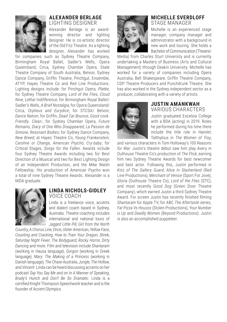

#### **ALEXANDER BERLAGE**  LIGHTING DESIGNER

Alexander Berlage is an awardwinning director and lighting designer. He is co-artistic director of the Old Fitz Theatre. As a lighting designer, Alexander has worked

for companies such as Sydney Theatre Company, Birmingham Royal Ballet, Sadler's Wells, Opera Queensland, Circa, Sydney Chamber Opera, State Theatre Company of South Australia, Belvoir, Sydney Dance Company, Griffin Theatre, Pinchgut, Ensemble, ATYP, Hayes Theatre Co and Red Line Productions. Lighting designs include: for Pinchgut Opera, *Platée*; for Sydney Theatre Company, *Lord of the Flies*, *Cloud Nine*, *Lethal Indifference*; for Birmingham Royal Ballet/ Sadler's Wells, *A Brief Nostalgia*; for Opera Queensland/ Circa, *Orpheus and Eurydice*; for STCSA/ Belvoir, *Dance Nation*; for Griffin, *Dead Cat Bounce*, *Good cook. Friendly. Clean.*; for Sydney Chamber Opera, *Future Remains*, *Diary of One Who Disappeared*, *La Passion de Simone*, *Resonant Bodies*; for Sydney Dance Company, *New Breed*; at Hayes Theatre Co, *Young Frankenstein*, *Caroline or Change*, *American Psycho*, *Cry-baby*; for Critical Stages, *Songs for the Fallen*. Awards include four Sydney Theatre Awards including two for Best Direction of a Musical and two for Best Lighting Design of an Independent Production, and the Mike Walsh Fellowship. His production of *American Psycho* won a total of nine Sydney Theatre Awards. Alexander is a NIDA graduate.



#### **LINDA NICHOLS-GIDLEY**  VOICE COACH

Linda is a freelance voice, accents and dialect coach based in Sydney, Australia. Theatre coaching includes international and national tours of *Jagged Little Pill*, *Girl from the North* 

*Country*, *A Chorus Line*, *Once*, *Ulster American*, *Yellow Face*, *Counting and Cracking*, *How to Train Your Dragon*, *Shrek*, *Saturday Night Fever*, *The Bodyguard*, *Rocky Horror*, *Dirty Dancing* and more. Film and television include *Shantaram* (working in Hausa language), *Gorgon* (working in Greek language), *Mary: The Making of a Princess* (working in Danish language), *The Chase Australia*, *Jungle*, *The Hollow*, and *Vincent*. Linda can be heard discussing accents on her podcast *Say You Say Me* and on *In A Manner of Speaking*, *Brady's Hunch* and *Don't Be So Dramatic*. Linda is a certified Knight Thompson Speechwork teacher and is the founder of Accent Olympics.

#### **MICHELLE SVERDLOFF**  STAGE MANAGER

Michelle is an experienced stage manager, company manager and administrator with a background in new work and touring. She holds a Bachelor of Communication (Theatre/

Media) from Charles Sturt University and is currently undertaking a Masters of Business (Arts and Cultural Management) through Deakin University. Michelle has worked for a variety of companies including Opera Australia, Bell Shakespeare, Griffin Theatre Company, CDP Theatre Producers and Punchdrunk Theatre. She has also worked in the Sydney independent sector as a producer, collaborating with a variety of artists.



#### **JUSTIN AMANKWAH**  VARIOUS CHARACTERS

Justin graduated Excelsia College with a BDA (acting) in 2019. Roles he performed during his time there include the title role in *Hamlet*, Talthybius in *The Women of Troy*,

and various characters in Tom Holloway's *100 Reasons for War*. Justin's theatre debut saw him play Avery in Outhouse Theatre Co's production of *The Flick*, earning him two Sydney Theatre Awards for best newcomer and best actor. Following this, Justin performed in *Kiss of The Gallery Guard*, *Alice In Slasherland* (Red Line Productions), *Merchant of Venice* (Sport For Jove), *Gloria* (Outhouse Theatre Co), *Lord of the Flies* (STC), and most recently *Good Dog* (Green Door Theatre Company), which earned Justin a third Sydney Theatre Award. For screen Justin has recently finished filming *Shantaram* for Apple TV, for ABC *The Aftertaste* series, *Fat Pizza Vs Housos* (Stolen Productions), *Your Number is Up* and *Deadly Women* (Beyond Productions). Justin is also an accomplished puppeteer.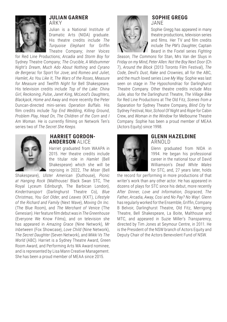

#### **JULIAN GARNER**  ARKY

Julian is a National Institute of Dramatic Arts (NIDA) graduate. His theatre credits include *The Turquoise Elephant* for Griffin Theatre Company; *Inner Voices*

for Red Line Productions; *Arcadia* and *Storm Boy* for Sydney Theatre Company; *The Crucible*, *A Midsummer Night's Dream*, *Much Ado About Nothing* and *Cyrano de Bergerac* for Sport for Jove; and *Romeo and Juliet*, *Hamlet*, *As You Like It*, *The Wars of the Roses*, *Measure for Measure* and *Twelfth Night* for Bell Shakespeare. His television credits include *Top of the Lake: China Girl*, *Reckoning*, *Pulse*, *Janet King*, *McLeod's Daughters*, *Blackjack*, *Home and Away* and more recently the Peter Duncan-directed mini-series *Operation Buffalo*. His film credits include *Top End Wedding*, *Killing Ground*, *Problem Play*, *Head On*, *The Children of the Corn* and *I Am Woman*. He is currently filming on Network Ten's series two of *The Secret She Keeps*.



#### **HARRIET GORDON-ANDERSON** ALICE

Harriet graduated from WAAPA in 2015. Her theatre credits include the titular role in *Hamlet* (Bell Shakespeare) which she will be reprising in 2022, *The Miser* (Bell

Shakespeare), *Ulster American* (Outhouse), *Picnic at Hanging Rock* (Malthouse/ Black Swan STC, The Royal Lyceum Edinburgh, The Barbican London), *Kindertransport* (Darlinghurst Theatre Co), *Blue Christmas*, *You Got Older*, and *Leaves* (KXT), *Lifestyle of the Richard and Family* (Next Wave), *Moving On Inc.* (The Blue Room), and *The Merchant of Venice* (The Genesian). Her feature film debut was in *The Greenhouse* (Everyone We Know Films), and on television she has appeared in *Amazing Grace* (Nine Network), *Mr Inbetween* (Fox Showcase), *Love Child* (Nine Network), *The Secret Daughter* (Seven Network), and *Mikki Vs The World* (ABC). Harriet is a Sydney Theatre Award, Green Room Award, and Performing Arts WA Award nominee, and is represented by Lisa Mann Creative Management. She has been a proud member of MEAA since 2015.

#### **SOPHIE GREGG**  JANE

Sophie Gregg has appeared in many theatre productions, television series and films. Her TV and film credits include *The PM's Daughter*, Captain Beard in the Foxtel series *Fighting* 

*Season*, *The Commons* for Stan, Mrs Van der Sluys in *Friday on my Mind*, *Peter Allen: Not the Boy Next Door* (Ch 7), *Around the Block* (2013 Toronto Film Festival), *The Code*, *Devil's Dust*, *Rake* and *Crownies*, all for the ABC, and the much loved series *Love My Way*. Sophie was last seen on stage in *The Hypochondriac* for Darlinghurst Theatre Company. Other theatre credits include *Miss Julie*, also for the Darlinghurst Theatre, *The Village Bike* for Red Line Productions at The Old Fitz, *Scenes from a Separation* for Sydney Theatre Company, *Blind City* for Sydney Festival, *Noir*, *School Of Night* and *Rope* for Cabin Crew, and *Woman in the Window* for Melbourne Theatre Company. Sophie has been a proud member of MEAA (Actors Equity) since 1998.



#### **GLENN HAZELDINE**  ARNOLD

Glenn graduated from NIDA in 1994. He began his professional career in the national tour of David Williamson's *Dead White Males*  for STC, and, 27 years later, holds

the record for performing in more productions of that writer's work than any other actor. He has appeared in dozens of plays for STC since his debut, more recently *After Dinner*, *Love and Information*, *Disgraced*, *The Father*, *Arcadia*, *Away*, *Cosi* and *No Pay? No Way!*. Glenn has regularly worked for the Ensemble, Griffin, Company B Belvoir, Darlinghurst Theatre, Old Fitz, Merrigong Theatre, Bell Shakespeare, La Boite, Malthouse and MTC, and appeared in Suzie Miller's *Transparency*, directed by Tim Jones at Seymour Centre, in 2011. He is the President of the NSW branch of Actors Equity and Deputy Chair of the Actors Benevolent Fund of NSW.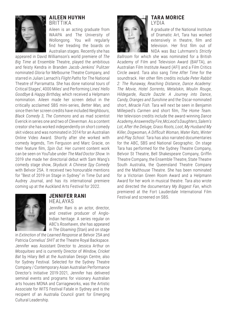

#### **AILEEN HUYNH BRITTIKA**

Aileen is an acting graduate from WAAPA and The University of Wollongong. You will regularly find her treading the boards on Australian stages. Recently she has

appeared in David Williamson's world premiere of *The Big Time* at Ensemble Theatre, played the ambitious and feisty Kendra in Branden Jacob-Jenkins' Pulitzer nominated *Gloria* for Melbourne Theatre Company, and starred in Julian Larnach's *Flight Paths* for The National Theatre of Parramatta. She has done national tours of Critical Stages', 4000 Miles' and Performing Lines' *Hello Goodbye & Happy Birthday*, which received a Helpmann nomination. Aileen made her screen debut in the critically acclaimed SBS mini-series, *Better Man,* and since then her screen credits have included *Neighbours*, *Black Comedy 3*, *The Commons* and as mad scientist Everick in series one and two of *Cleverman*. As a content creator she has worked independently on short comedy skit videos and was nominated in 2014 for an Australian Online Video Award. Shortly after she worked with comedy legends, Tim Ferguson and Marc Gracie, on their feature film, *Spin Out*. Her current content work can be seen on YouTube under *The Mad Doctor Show*. In 2019 she made her directorial debut with Sam Wang's comedy stage show, *Skyduck: A Chinese Spy Comedy* with Belvoir 25A. It received two honourable mentions for "Best of 2019 on Stage in Sydney" in Time Out and Audrey Journal, and has its international premiere coming up at the Auckland Arts Festival for 2022.



#### **JENNIFER RANI**  HEALAYAS

Jennifer Rani is an actor, director, and creative producer of Anglo-Indian heritage. A series regular on ABC's *Rosehaven*, she has appeared in *The Gloaming* (Stan) and on stage

in *Extinction of the Learned Response* at Belvoir 25A and Patricia Cornelius' *SHIT* at the Theatre Royal Backspace. Jennifer was Assistant Director to Jessica Arthur on *Mosquitoes* and is currently Director of *Window, Cricket Bat* by Hilary Bell at the Australian Design Centre, also for Sydney Festival. Selected for the Sydney Theatre Company / Contemporary Asian Australian Performance Director's Initiative 2019-2021, Jennifer has delivered seminal events and programs for visionary Australian arts houses MONA and Carriageworks, was the Artistic Associate for WITS Festival Fatale in Sydney and is the recipient of an Australia Council grant for Emerging Cultural Leadership.

#### **TARA MORICE** LYDIA



A graduate of the National Institute of Dramatic Art, Tara has worked extensively in theatre, film and television. Her first film out of NIDA was Baz Luhrmann's *Strictly* 

*Ballroom* for which she was nominated for a British Academy of Film and Television Award (BAFTA), an Australian Film Institute Award (AFI) and a Film Critics Circle award. Tara also sang *Time After Time* for the soundtrack. Her other film credits include *Peter Rabbit 2: The Runaway*, *Reaching Distance*, *Dance Academy: The Movie*, *Hotel Sorrento*, *Metalskin*, *Moulin Rouge*, *Hildegarde*, *Razzle Dazzle: A Journey into Dance*, *Candy*, *Oranges and Sunshine* and the Oscar-nominated short, *Miracle Fish*. Tara will next be seen in Benjamin Millepied's *Carmen* and short film, *The Home Team*. Her television credits include the award-winning *Dance Academy*, *Answered by Fire*, *McLeod's Daughters*, *Salem's Lot*, *After the Deluge*, *Grass Roots*, *Loot*, *My Husband My Killer*, *Dogwoman*, *A Difficult Woman*, *Water Rats*, *Winter* and *Play School*. Tara has also narrated documentaries for the ABC, SBS and National Geographic. On stage Tara has performed for the Sydney Theatre Company, Belvoir St Theatre, Bell Shakespeare Company, Griffin Theatre Company, the Ensemble Theatre, State Theatre South Australia, the Queensland Theatre Company and the Malthouse Theatre. She has been nominated for a Victorian Green Room Award and a Helpmann Award for her work in musical theatre. Tara also wrote and directed the documentary *My Biggest Fan*, which premiered at the Fort Lauderdale International Film Festival and screened on SBS.